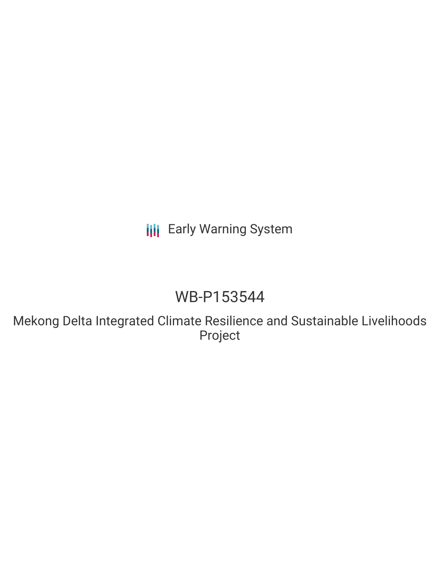**III** Early Warning System

## WB-P153544

Mekong Delta Integrated Climate Resilience and Sustainable Livelihoods Project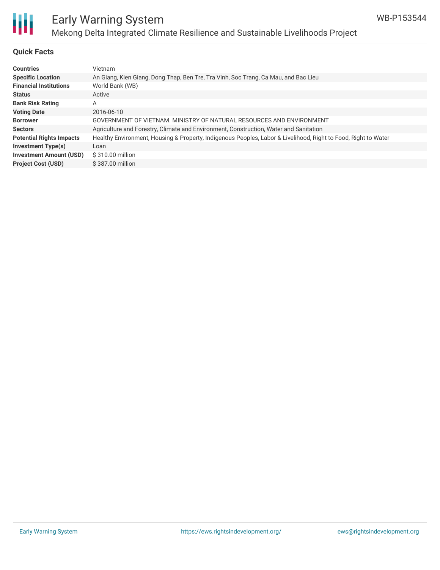

## Early Warning System Mekong Delta Integrated Climate Resilience and Sustainable Livelihoods Project

#### **Quick Facts**

| <b>Countries</b>                | <b>Vietnam</b>                                                                                                 |
|---------------------------------|----------------------------------------------------------------------------------------------------------------|
| <b>Specific Location</b>        | An Giang, Kien Giang, Dong Thap, Ben Tre, Tra Vinh, Soc Trang, Ca Mau, and Bac Lieu                            |
| <b>Financial Institutions</b>   | World Bank (WB)                                                                                                |
| <b>Status</b>                   | Active                                                                                                         |
| <b>Bank Risk Rating</b>         | A                                                                                                              |
| <b>Voting Date</b>              | 2016-06-10                                                                                                     |
| <b>Borrower</b>                 | GOVERNMENT OF VIETNAM, MINISTRY OF NATURAL RESOURCES AND ENVIRONMENT                                           |
| <b>Sectors</b>                  | Agriculture and Forestry, Climate and Environment, Construction, Water and Sanitation                          |
| <b>Potential Rights Impacts</b> | Healthy Environment, Housing & Property, Indigenous Peoples, Labor & Livelihood, Right to Food, Right to Water |
| <b>Investment Type(s)</b>       | Loan                                                                                                           |
| <b>Investment Amount (USD)</b>  | \$310.00 million                                                                                               |
| <b>Project Cost (USD)</b>       | \$387.00 million                                                                                               |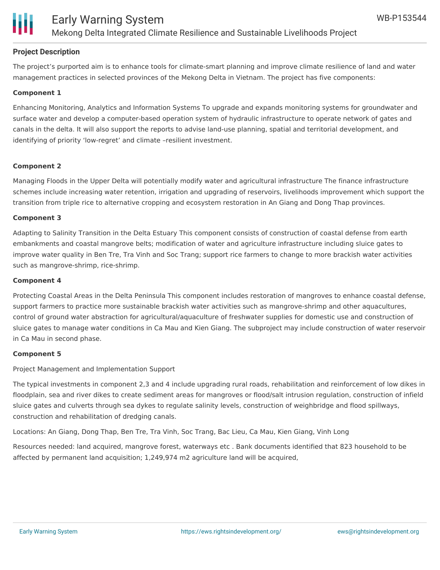

#### **Project Description**

The project's purported aim is to enhance tools for climate-smart planning and improve climate resilience of land and water management practices in selected provinces of the Mekong Delta in Vietnam. The project has five components:

#### **Component 1**

Enhancing Monitoring, Analytics and Information Systems To upgrade and expands monitoring systems for groundwater and surface water and develop a computer-based operation system of hydraulic infrastructure to operate network of gates and canals in the delta. It will also support the reports to advise land-use planning, spatial and territorial development, and identifying of priority 'low-regret' and climate –resilient investment.

#### **Component 2**

Managing Floods in the Upper Delta will potentially modify water and agricultural infrastructure The finance infrastructure schemes include increasing water retention, irrigation and upgrading of reservoirs, livelihoods improvement which support the transition from triple rice to alternative cropping and ecosystem restoration in An Giang and Dong Thap provinces.

#### **Component 3**

Adapting to Salinity Transition in the Delta Estuary This component consists of construction of coastal defense from earth embankments and coastal mangrove belts; modification of water and agriculture infrastructure including sluice gates to improve water quality in Ben Tre, Tra Vinh and Soc Trang; support rice farmers to change to more brackish water activities such as mangrove-shrimp, rice-shrimp.

#### **Component 4**

Protecting Coastal Areas in the Delta Peninsula This component includes restoration of mangroves to enhance coastal defense, support farmers to practice more sustainable brackish water activities such as mangrove-shrimp and other aquacultures, control of ground water abstraction for agricultural/aquaculture of freshwater supplies for domestic use and construction of sluice gates to manage water conditions in Ca Mau and Kien Giang. The subproject may include construction of water reservoir in Ca Mau in second phase.

#### **Component 5**

Project Management and Implementation Support

The typical investments in component 2,3 and 4 include upgrading rural roads, rehabilitation and reinforcement of low dikes in floodplain, sea and river dikes to create sediment areas for mangroves or flood/salt intrusion regulation, construction of infield sluice gates and culverts through sea dykes to regulate salinity levels, construction of weighbridge and flood spillways, construction and rehabilitation of dredging canals.

Locations: An Giang, Dong Thap, Ben Tre, Tra Vinh, Soc Trang, Bac Lieu, Ca Mau, Kien Giang, Vinh Long

Resources needed: land acquired, mangrove forest, waterways etc . Bank documents identified that 823 household to be affected by permanent land acquisition; 1,249,974 m2 agriculture land will be acquired,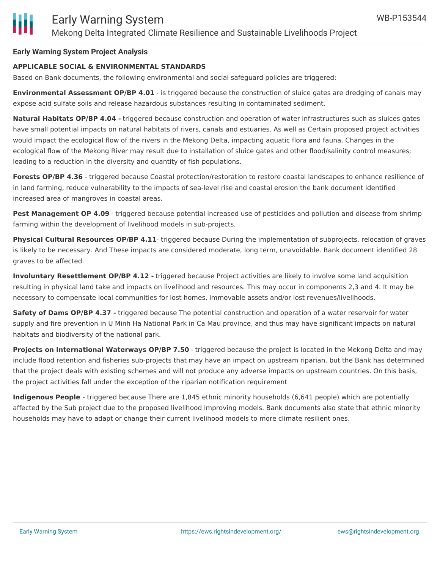#### **Early Warning System Project Analysis**

#### **APPLICABLE SOCIAL & ENVIRONMENTAL STANDARDS**

Based on Bank documents, the following environmental and social safeguard policies are triggered:

**Environmental Assessment OP/BP 4.01** - is triggered because the construction of sluice gates are dredging of canals may expose acid sulfate soils and release hazardous substances resulting in contaminated sediment.

**Natural Habitats OP/BP 4.04 -** triggered because construction and operation of water infrastructures such as sluices gates have small potential impacts on natural habitats of rivers, canals and estuaries. As well as Certain proposed project activities would impact the ecological flow of the rivers in the Mekong Delta, impacting aquatic flora and fauna. Changes in the ecological flow of the Mekong River may result due to installation of sluice gates and other flood/salinity control measures; leading to a reduction in the diversity and quantity of fish populations.

**Forests OP/BP 4.36** - triggered because Coastal protection/restoration to restore coastal landscapes to enhance resilience of in land farming, reduce vulnerability to the impacts of sea-level rise and coastal erosion the bank document identified increased area of mangroves in coastal areas.

**Pest Management OP 4.09** - triggered because potential increased use of pesticides and pollution and disease from shrimp farming within the development of livelihood models in sub-projects.

**Physical Cultural Resources OP/BP 4.11**- triggered because During the implementation of subprojects, relocation of graves is likely to be necessary. And These impacts are considered moderate, long term, unavoidable. Bank document identified 28 graves to be affected.

**Involuntary Resettlement OP/BP 4.12 -** triggered because Project activities are likely to involve some land acquisition resulting in physical land take and impacts on livelihood and resources. This may occur in components 2,3 and 4. It may be necessary to compensate local communities for lost homes, immovable assets and/or lost revenues/livelihoods.

**Safety of Dams OP/BP 4.37 -** triggered because The potential construction and operation of a water reservoir for water supply and fire prevention in U Minh Ha National Park in Ca Mau province, and thus may have significant impacts on natural habitats and biodiversity of the national park.

**Projects on International Waterways OP/BP 7.50** - triggered because the project is located in the Mekong Delta and may include flood retention and fisheries sub-projects that may have an impact on upstream riparian. but the Bank has determined that the project deals with existing schemes and will not produce any adverse impacts on upstream countries. On this basis, the project activities fall under the exception of the riparian notification requirement

**Indigenous People** - triggered because There are 1,845 ethnic minority households (6,641 people) which are potentially affected by the Sub project due to the proposed livelihood improving models. Bank documents also state that ethnic minority households may have to adapt or change their current livelihood models to more climate resilient ones.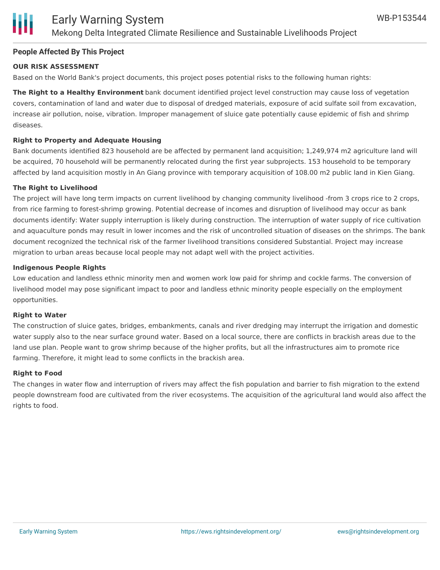#### **People Affected By This Project**

#### **OUR RISK ASSESSMENT**

Based on the World Bank's project documents, this project poses potential risks to the following human rights:

**The Right to a Healthy Environment** bank document identified project level construction may cause loss of vegetation covers, contamination of land and water due to disposal of dredged materials, exposure of acid sulfate soil from excavation, increase air pollution, noise, vibration. Improper management of sluice gate potentially cause epidemic of fish and shrimp diseases.

#### **Right to Property and Adequate Housing**

Bank documents identified 823 household are be affected by permanent land acquisition; 1,249,974 m2 agriculture land will be acquired, 70 household will be permanently relocated during the first year subprojects. 153 household to be temporary affected by land acquisition mostly in An Giang province with temporary acquisition of 108.00 m2 public land in Kien Giang.

#### **The Right to Livelihood**

The project will have long term impacts on current livelihood by changing community livelihood -from 3 crops rice to 2 crops, from rice farming to forest-shrimp growing. Potential decrease of incomes and disruption of livelihood may occur as bank documents identify: Water supply interruption is likely during construction. The interruption of water supply of rice cultivation and aquaculture ponds may result in lower incomes and the risk of uncontrolled situation of diseases on the shrimps. The bank document recognized the technical risk of the farmer livelihood transitions considered Substantial. Project may increase migration to urban areas because local people may not adapt well with the project activities.

#### **Indigenous People Rights**

Low education and landless ethnic minority men and women work low paid for shrimp and cockle farms. The conversion of livelihood model may pose significant impact to poor and landless ethnic minority people especially on the employment opportunities.

#### **Right to Water**

The construction of sluice gates, bridges, embankments, canals and river dredging may interrupt the irrigation and domestic water supply also to the near surface ground water. Based on a local source, there are conflicts in brackish areas due to the land use plan. People want to grow shrimp because of the higher profits, but all the infrastructures aim to promote rice farming. Therefore, it might lead to some conflicts in the brackish area.

#### **Right to Food**

The changes in water flow and interruption of rivers may affect the fish population and barrier to fish migration to the extend people downstream food are cultivated from the river ecosystems. The acquisition of the agricultural land would also affect the rights to food.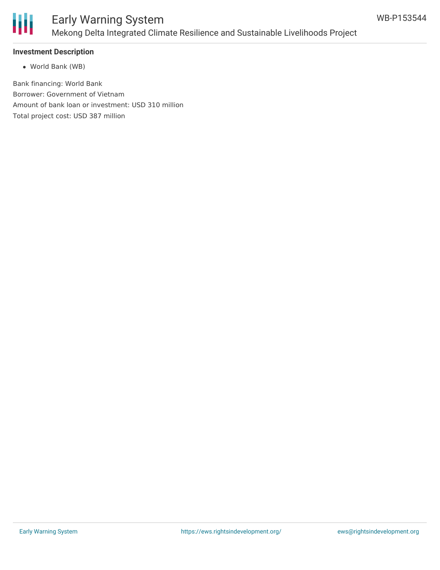

## Early Warning System Mekong Delta Integrated Climate Resilience and Sustainable Livelihoods Project

#### **Investment Description**

World Bank (WB)

Bank financing: World Bank Borrower: Government of Vietnam Amount of bank loan or investment: USD 310 million Total project cost: USD 387 million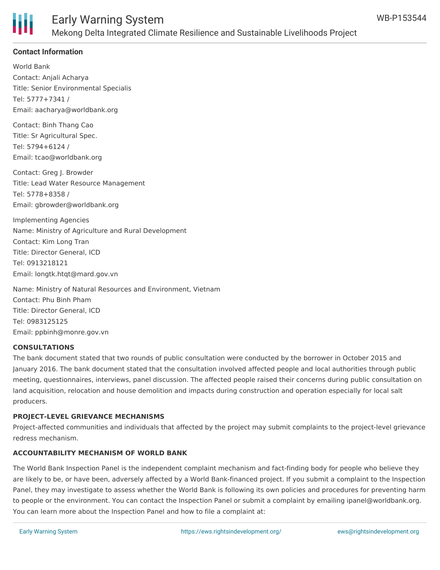

#### **Contact Information**

World Bank Contact: Anjali Acharya Title: Senior Environmental Specialis Tel: 5777+7341 / Email: aacharya@worldbank.org

Contact: Binh Thang Cao Title: Sr Agricultural Spec. Tel: 5794+6124 / Email: tcao@worldbank.org

Contact: Greg J. Browder Title: Lead Water Resource Management Tel: 5778+8358 / Email: gbrowder@worldbank.org

Implementing Agencies Name: Ministry of Agriculture and Rural Development Contact: Kim Long Tran Title: Director General, ICD Tel: 0913218121 Email: longtk.htqt@mard.gov.vn

Name: Ministry of Natural Resources and Environment, Vietnam Contact: Phu Binh Pham Title: Director General, ICD Tel: 0983125125 Email: ppbinh@monre.gov.vn

#### **CONSULTATIONS**

The bank document stated that two rounds of public consultation were conducted by the borrower in October 2015 and January 2016. The bank document stated that the consultation involved affected people and local authorities through public meeting, questionnaires, interviews, panel discussion. The affected people raised their concerns during public consultation on land acquisition, relocation and house demolition and impacts during construction and operation especially for local salt producers.

#### **PROJECT-LEVEL GRIEVANCE MECHANISMS**

Project-affected communities and individuals that affected by the project may submit complaints to the project-level grievance redress mechanism.

#### **ACCOUNTABILITY MECHANISM OF WORLD BANK**

http://ewebapps.worldbank.org/apps/ip/Pages/Home.aspx.worldbank.org/apps/ip/Pages/Home.aspx.methods.com

The World Bank Inspection Panel is the independent complaint mechanism and fact-finding body for people who believe they are likely to be, or have been, adversely affected by a World Bank-financed project. If you submit a complaint to the Inspection Panel, they may investigate to assess whether the World Bank is following its own policies and procedures for preventing harm to people or the environment. You can contact the Inspection Panel or submit a complaint by emailing ipanel@worldbank.org. You can learn more about the Inspection Panel and how to file a complaint at: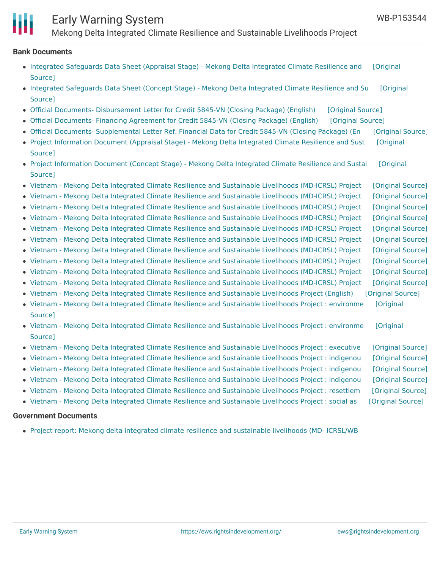# Early Warning System

Mekong Delta Integrated Climate Resilience and Sustainable Livelihoods Project

#### **Bank Documents**

- Integrated [Safeguards](https://ewsdata.rightsindevelopment.org/files/documents/44/WB-P153544_VimKIgY.pdf) Data Sheet (Appraisal Stage) Mekong Delta Integrated Climate Resilience and [Original Source]
- Integrated [Safeguards](https://ewsdata.rightsindevelopment.org/files/documents/44/WB-P153544_BnQlUtk.pdf) Data Sheet (Concept Stage) Mekong Delta Integrated Climate Resilience and Su [Original Source]
- Official Documents- [Disbursement](https://ewsdata.rightsindevelopment.org/files/documents/44/WB-P153544.pdf) Letter for Credit 5845-VN (Closing Package) (English) [\[Original](http://documents.worldbank.org/curated/en/2016/07/26788311/official-documents--disbursement-letter-credit-5845-vn-closing-package) Source]
- Official [Documents-](https://ewsdata.rightsindevelopment.org/files/documents/44/WB-P153544_GmDGJv9.pdf) Financing Agreement for Credit 5845-VN (Closing Package) (English) [\[Original](http://documents.worldbank.org/curated/en/2016/07/26788323/official-documents--financing-agreement-credit-5845-vn-closing-package) Source]
- Official Documents- [Supplemental](https://ewsdata.rightsindevelopment.org/files/documents/44/WB-P153544_clJWdGZ.pdf) Letter Ref. Financial Data for Credit 5845-VN (Closing Package) (En [\[Original](http://documents.worldbank.org/curated/en/2016/07/26788325/official-documents--supplemental-letter-ref-financial-data-credit-5845-vn-closing-package) Source]
- Project [Information](http://documents.worldbank.org/curated/en/2016/04/26289581/project-information-document-appraisal-stage-mekong-delta-integrated-climate-resilience-sustainable-livelihoods-project-p153544) Document (Appraisal Stage) Mekong Delta Integrated Climate Resilience and Sust [Original Source]
- Project [Information](http://documents.worldbank.org/curated/en/2015/04/25477086/project-information-document-concept-stage-mekong-delta-integrated-climate-resilience-sustainable-livelihoods-project-p153544) Document (Concept Stage) Mekong Delta Integrated Climate Resilience and Sustai [Original Source]
- Vietnam Mekong Delta Integrated Climate Resilience and [Sustainable](https://ewsdata.rightsindevelopment.org/files/documents/44/WB-P153544_UZ0eNN6.pdf) Livelihoods (MD-ICRSL) Project [\[Original](http://documents.worldbank.org/curated/en/2016/05/26378490/vietnam-mekong-delta-integrated-climate-resilience-sustainable-livelihoods-md-icrsl-project-resettlement-plan-vol-5-resettlement-action-plan-cau-ke-tra-vinh-province-tra-vung-liem-vinh-long-province) Source]
- Vietnam Mekong Delta Integrated Climate Resilience and [Sustainable](https://ewsdata.rightsindevelopment.org/files/documents/44/WB-P153544_tRmr4Uq.pdf) Livelihoods (MD-ICRSL) Project [\[Original](http://documents.worldbank.org/curated/en/2016/01/25831569/vietnam-mekong-delta-integrated-climate-resilience-sustainable-livelihoods-md-icrsl-project-environmental-assessment-vol-3-environmental-social-impact-assessment-south-mang-thit-area) Source]
- Vietnam Mekong Delta Integrated Climate Resilience and [Sustainable](https://ewsdata.rightsindevelopment.org/files/documents/44/WB-P153544_uzedZnD.pdf) Livelihoods (MD-ICRSL) Project [\[Original](http://documents.worldbank.org/curated/en/2016/01/25831549/vietnam-mekong-delta-integrated-climate-resilience-sustainable-livelihoods-md-icrsl-project-environmental-assessment-vol-2-environmental-social-impact-assessment-phu-district-giang-province) Source]
- Vietnam Mekong Delta Integrated Climate Resilience and [Sustainable](https://ewsdata.rightsindevelopment.org/files/documents/44/WB-P153544_JtBngYb.pdf) Livelihoods (MD-ICRSL) Project [\[Original](http://documents.worldbank.org/curated/en/2016/01/25836153/vietnam-mekong-delta-integrated-climate-resilience-sustainable-livelihoods-md-icrsl-project-environmental-assessment-vol-4) Source]
- Vietnam Mekong Delta Integrated Climate Resilience and [Sustainable](https://ewsdata.rightsindevelopment.org/files/documents/44/WB-P153544_rHnRq2Z.pdf) Livelihoods (MD-ICRSL) Project [\[Original](http://documents.worldbank.org/curated/en/2016/01/25831570/vietnam-mekong-delta-integrated-climate-resilience-sustainable-livelihoods-md-icrsl-project-environmental-assessment-environmental-social-impact-assessment-ba-tri-district-ben-tre-province) Source] Vietnam - Mekong Delta Integrated Climate Resilience and [Sustainable](https://ewsdata.rightsindevelopment.org/files/documents/44/WB-P153544_ZkHDIrl.pdf) Livelihoods (MD-ICRSL) Project [\[Original](http://documents.worldbank.org/curated/en/2016/01/25831439/vietnam-mekong-delta-integrated-climate-resilience-sustainable-livelihoods-md-icrsl-project-resettlement-plan-vol-3-resettlement-action-plan-climate-change-sea-level-rise-resilience-minh-bien-district-kien-giang-province) Source]
- Vietnam Mekong Delta Integrated Climate Resilience and [Sustainable](https://ewsdata.rightsindevelopment.org/files/documents/44/WB-P153544_tmujxo1.pdf) Livelihoods (MD-ICRSL) Project [\[Original](http://documents.worldbank.org/curated/en/2016/01/25831495/vietnam-mekong-delta-integrated-climate-resilience-sustainable-livelihoods-md-icrsl-project-resettlement-plan-vol-2-resettlement-action-plan-improving-ability-adaptation-water-management-phu-district-giang-province) Source]
- Vietnam Mekong Delta Integrated Climate Resilience and [Sustainable](https://ewsdata.rightsindevelopment.org/files/documents/44/WB-P153544_ldILX8r.pdf) Livelihoods (MD-ICRSL) Project [\[Original](http://documents.worldbank.org/curated/en/2016/01/25831658/vietnam-mekong-delta-integrated-climate-resilience-sustainable-livelihoods-md-icrsl-project-environmental-assessment) Source]
- Vietnam Mekong Delta Integrated Climate Resilience and [Sustainable](https://ewsdata.rightsindevelopment.org/files/documents/44/WB-P153544_jNn48oc.pdf) Livelihoods (MD-ICRSL) Project [\[Original](http://documents.worldbank.org/curated/en/2016/01/25831501/vietnam-mekong-delta-integrated-climate-resilience-sustainable-livelihoods-md-icrsl-project-resettlement-plan-vol-4-resettlement-action-plan) Source]
- Vietnam Mekong Delta Integrated Climate Resilience and [Sustainable](https://ewsdata.rightsindevelopment.org/files/documents/44/WB-P153544_EYoIEHy.pdf) Livelihoods (MD-ICRSL) Project [\[Original](http://documents.worldbank.org/curated/en/2016/01/25831448/vietnam-mekong-delta-integrated-climate-resilience-sustainable-livelihoods-md-icrsl-project-resettlement-plan-abbreviated-resettlement-action-plan) Source]
- Vietnam Mekong Delta Integrated Climate Resilience and [Sustainable](https://ewsdata.rightsindevelopment.org/files/documents/44/WB-P153544_2BUl1GH.pdf) Livelihoods Project (English) [\[Original](http://documents.worldbank.org/curated/en/2016/06/26402672/vietnam-mekong-delta-integrated-climate-resilience-sustainable-livelihoods-project) Source]
- Vietnam Mekong Delta Integrated Climate Resilience and [Sustainable](https://ewsdata.rightsindevelopment.org/files/documents/44/WB-P153544_WFtr66F.pdf) Livelihoods Project : environme [Original Source]
- Vietnam Mekong Delta Integrated Climate Resilience and [Sustainable](https://ewsdata.rightsindevelopment.org/files/documents/44/WB-P153544_kc2gyZA.pdf) Livelihoods Project : environme [Original Source]
- Vietnam Mekong Delta Integrated Climate Resilience and [Sustainable](https://ewsdata.rightsindevelopment.org/files/documents/44/WB-P153544_hDHk9IR.pdf) Livelihoods Project : executive [\[Original](http://documents.worldbank.org/curated/en/2016/07/26136266/vietnam-mekong-delta-integrated-climate-resilience-sustainable-livelihoods-project-executive-summary-environmental-social-impact-assessments) Source]
- Vietnam Mekong Delta Integrated Climate Resilience and [Sustainable](https://ewsdata.rightsindevelopment.org/files/documents/44/WB-P153544_tUvbWUa.pdf) Livelihoods Project : indigenou [\[Original](http://documents.worldbank.org/curated/en/2016/01/25831505/vietnam-mekong-delta-integrated-climate-resilience-sustainable-livelihoods-project-indigenous-peoples-plan-ethnic-minority-development-plan) Source]
- Vietnam Mekong Delta Integrated Climate Resilience and [Sustainable](https://ewsdata.rightsindevelopment.org/files/documents/44/WB-P153544_CkR1p2t.pdf) Livelihoods Project : indigenou [\[Original](http://documents.worldbank.org/curated/en/2016/01/25831387/vietnam-mekong-delta-integrated-climate-resilience-sustainable-livelihoods-project-indigenous-peoples-plan-ethnic-minority-policy-framework) Source]
- Vietnam Mekong Delta Integrated Climate Resilience and [Sustainable](https://ewsdata.rightsindevelopment.org/files/documents/44/WB-P153544_u7FCPys.pdf) Livelihoods Project : indigenou [\[Original](http://documents.worldbank.org/curated/en/2016/01/25831511/vietnam-mekong-delta-integrated-climate-resilience-sustainable-livelihoods-project-indigenous-peoples-plan-vol-2-ethnic-minority-development-plan-sub-project-tra-vinh-vinh-long-provinces) Source]
- Vietnam Mekong Delta Integrated Climate Resilience and [Sustainable](https://ewsdata.rightsindevelopment.org/files/documents/44/WB-P153544_WtokjYv.pdf) Livelihoods Project : resettlem [\[Original](http://documents.worldbank.org/curated/en/2016/01/25831337/vietnam-mekong-delta-integrated-climate-resilience-sustainable-livelihoods-project-resettlement-plan-resettlement-policy-framework) Source]
- Vietnam Mekong Delta Integrated Climate Resilience and [Sustainable](https://ewsdata.rightsindevelopment.org/files/documents/44/WB-P153544_1oA9vrh.pdf) Livelihoods Project : social as [\[Original](http://documents.worldbank.org/curated/en/2016/01/25831378/vietnam-mekong-delta-integrated-climate-resilience-sustainable-livelihoods-project-social-assessment) Source]

### **Government Documents**

Project report: Mekong delta integrated climate resilience and [sustainable](https://www.mard.gov.vn/en/Pages/environmental-and-social-impact-assessment-report.aspx) livelihoods (MD- ICRSL/WB